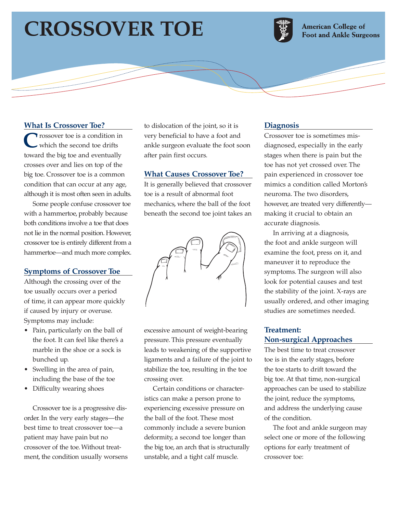# **CROSSOVER TOE**



**American College of Foot and Ankle Surgeons** 

### **What Is Crossover Toe?**

**Trossover toe is a condition in** which the second toe drifts toward the big toe and eventually crosses over and lies on top of the big toe. Crossover toe is a common condition that can occur at any age, although it is most often seen in adults.

Some people confuse crossover toe with a hammertoe, probably because both conditions involve a toe that does not lie in the normal position. However, crossover toe is entirely different from a hammertoe—and much more complex.

#### **Symptoms of Crossover Toe**

Although the crossing over of the toe usually occurs over a period of time, it can appear more quickly if caused by injury or overuse. Symptoms may include:

- Pain, particularly on the ball of the foot. It can feel like there's a marble in the shoe or a sock is bunched up.
- Swelling in the area of pain, including the base of the toe
- Difficulty wearing shoes

Crossover toe is a progressive disorder. In the very early stages—the best time to treat crossover toe—a patient may have pain but no crossover of the toe. Without treatment, the condition usually worsens to dislocation of the joint, so it is very beneficial to have a foot and ankle surgeon evaluate the foot soon after pain first occurs.

#### **What Causes Crossover Toe?**

It is generally believed that crossover toe is a result of abnormal foot mechanics, where the ball of the foot beneath the second toe joint takes an



excessive amount of weight-bearing pressure. This pressure eventually leads to weakening of the supportive ligaments and a failure of the joint to stabilize the toe, resulting in the toe crossing over.

Certain conditions or characteristics can make a person prone to experiencing excessive pressure on the ball of the foot. These most commonly include a severe bunion deformity, a second toe longer than the big toe, an arch that is structurally unstable, and a tight calf muscle.

#### **Diagnosis**

Crossover toe is sometimes misdiagnosed, especially in the early stages when there is pain but the toe has not yet crossed over. The pain experienced in crossover toe mimics a condition called Morton's neuroma. The two disorders, however, are treated very differently making it crucial to obtain an accurate diagnosis.

In arriving at a diagnosis, the foot and ankle surgeon will examine the foot, press on it, and maneuver it to reproduce the symptoms. The surgeon will also look for potential causes and test the stability of the joint. X-rays are usually ordered, and other imaging studies are sometimes needed.

## **Treatment: Non-surgical Approaches**

The best time to treat crossover toe is in the early stages, before the toe starts to drift toward the big toe. At that time, non-surgical approaches can be used to stabilize the joint, reduce the symptoms, and address the underlying cause of the condition.

The foot and ankle surgeon may select one or more of the following options for early treatment of crossover toe: